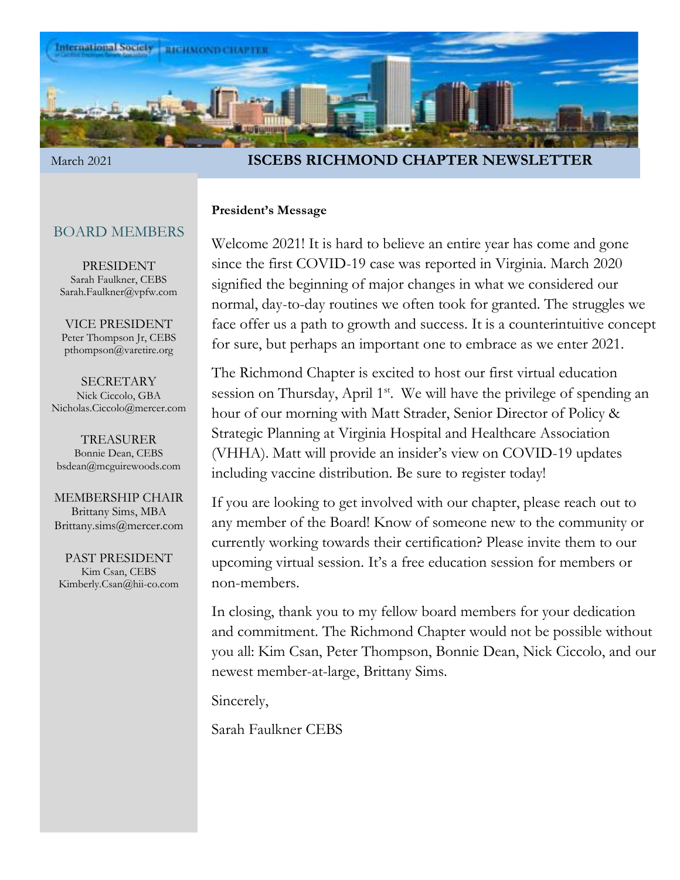

#### March 2021 **ISCEBS RICHMOND CHAPTER NEWSLETTER**

### **President's Message**

Welcome 2021! It is hard to believe an entire year has come and gone since the first COVID-19 case was reported in Virginia. March 2020 signified the beginning of major changes in what we considered our normal, day-to-day routines we often took for granted. The struggles we face offer us a path to growth and success. It is a counterintuitive concept for sure, but perhaps an important one to embrace as we enter 2021.

The Richmond Chapter is excited to host our first virtual education session on Thursday, April 1<sup>st</sup>. We will have the privilege of spending an hour of our morning with Matt Strader, Senior Director of Policy & Strategic Planning at Virginia Hospital and Healthcare Association (VHHA). Matt will provide an insider's view on COVID-19 updates including vaccine distribution. Be sure to register today!

If you are looking to get involved with our chapter, please reach out to any member of the Board! Know of someone new to the community or currently working towards their certification? Please invite them to our upcoming virtual session. It's a free education session for members or non-members.

In closing, thank you to my fellow board members for your dedication and commitment. The Richmond Chapter would not be possible without you all: Kim Csan, Peter Thompson, Bonnie Dean, Nick Ciccolo, and our newest member-at-large, Brittany Sims.

Sincerely,

Sarah Faulkner CEBS

#### BOARD MEMBERS

PRESIDENT Sarah Faulkner, CEBS Sarah.Faulkner@vpfw.com

VICE PRESIDENT Peter Thompson Jr, CEBS pthompson@varetire.org

SECRETARY Nick Ciccolo, GBA Nicholas.Ciccolo@mercer.com

TREASURER Bonnie Dean, CEBS bsdean@mcguirewoods.com

MEMBERSHIP CHAIR Brittany Sims, MBA Brittany.sims@mercer.com

PAST PRESIDENT Kim Csan, CEBS Kimberly.Csan@hii-co.com